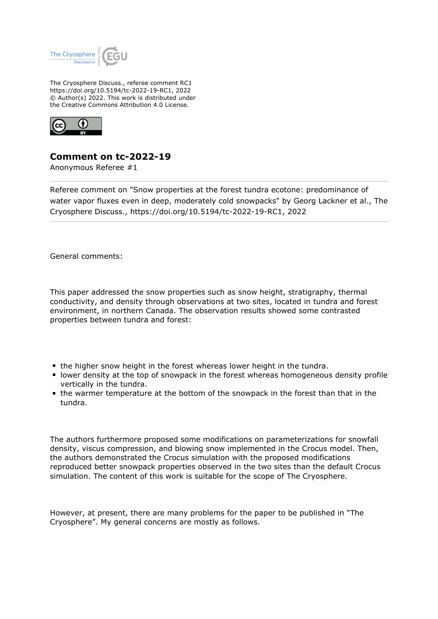

The Cryosphere Discuss., referee comment RC1 https://doi.org/10.5194/tc-2022-19-RC1, 2022 © Author(s) 2022. This work is distributed under the Creative Commons Attribution 4.0 License.



## **Comment on tc-2022-19**

Anonymous Referee #1

Referee comment on "Snow properties at the forest tundra ecotone: predominance of water vapor fluxes even in deep, moderately cold snowpacks" by Georg Lackner et al., The Cryosphere Discuss., https://doi.org/10.5194/tc-2022-19-RC1, 2022

General comments:

This paper addressed the snow properties such as snow height, stratigraphy, thermal conductivity, and density through observations at two sites, located in tundra and forest environment, in northern Canada. The observation results showed some contrasted properties between tundra and forest:

- the higher snow height in the forest whereas lower height in the tundra.
- **If lower density at the top of snowpack in the forest whereas homogeneous density profile** vertically in the tundra.
- the warmer temperature at the bottom of the snowpack in the forest than that in the tundra.

The authors furthermore proposed some modifications on parameterizations for snowfall density, viscus compression, and blowing snow implemented in the Crocus model. Then, the authors demonstrated the Crocus simulation with the proposed modifications reproduced better snowpack properties observed in the two sites than the default Crocus simulation. The content of this work is suitable for the scope of The Cryosphere.

However, at present, there are many problems for the paper to be published in "The Cryosphere". My general concerns are mostly as follows.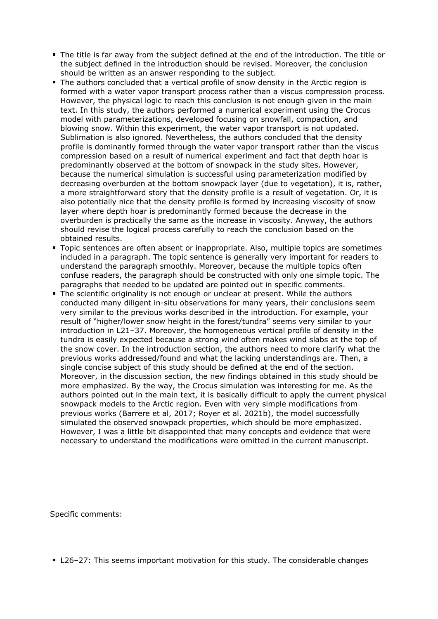- The title is far away from the subject defined at the end of the introduction. The title or the subject defined in the introduction should be revised. Moreover, the conclusion should be written as an answer responding to the subject.
- The authors concluded that a vertical profile of snow density in the Arctic region is formed with a water vapor transport process rather than a viscus compression process. However, the physical logic to reach this conclusion is not enough given in the main text. In this study, the authors performed a numerical experiment using the Crocus model with parameterizations, developed focusing on snowfall, compaction, and blowing snow. Within this experiment, the water vapor transport is not updated. Sublimation is also ignored. Nevertheless, the authors concluded that the density profile is dominantly formed through the water vapor transport rather than the viscus compression based on a result of numerical experiment and fact that depth hoar is predominantly observed at the bottom of snowpack in the study sites. However, because the numerical simulation is successful using parameterization modified by decreasing overburden at the bottom snowpack layer (due to vegetation), it is, rather, a more straightforward story that the density profile is a result of vegetation. Or, it is also potentially nice that the density profile is formed by increasing viscosity of snow layer where depth hoar is predominantly formed because the decrease in the overburden is practically the same as the increase in viscosity. Anyway, the authors should revise the logical process carefully to reach the conclusion based on the obtained results.
- Topic sentences are often absent or inappropriate. Also, multiple topics are sometimes included in a paragraph. The topic sentence is generally very important for readers to understand the paragraph smoothly. Moreover, because the multiple topics often confuse readers, the paragraph should be constructed with only one simple topic. The paragraphs that needed to be updated are pointed out in specific comments.
- The scientific originality is not enough or unclear at present. While the authors conducted many diligent in-situ observations for many years, their conclusions seem very similar to the previous works described in the introduction. For example, your result of "higher/lower snow height in the forest/tundra" seems very similar to your introduction in L21–37. Moreover, the homogeneous vertical profile of density in the tundra is easily expected because a strong wind often makes wind slabs at the top of the snow cover. In the introduction section, the authors need to more clarify what the previous works addressed/found and what the lacking understandings are. Then, a single concise subject of this study should be defined at the end of the section. Moreover, in the discussion section, the new findings obtained in this study should be more emphasized. By the way, the Crocus simulation was interesting for me. As the authors pointed out in the main text, it is basically difficult to apply the current physical snowpack models to the Arctic region. Even with very simple modifications from previous works (Barrere et al, 2017; Royer et al. 2021b), the model successfully simulated the observed snowpack properties, which should be more emphasized. However, I was a little bit disappointed that many concepts and evidence that were necessary to understand the modifications were omitted in the current manuscript.

Specific comments:

■ L26-27: This seems important motivation for this study. The considerable changes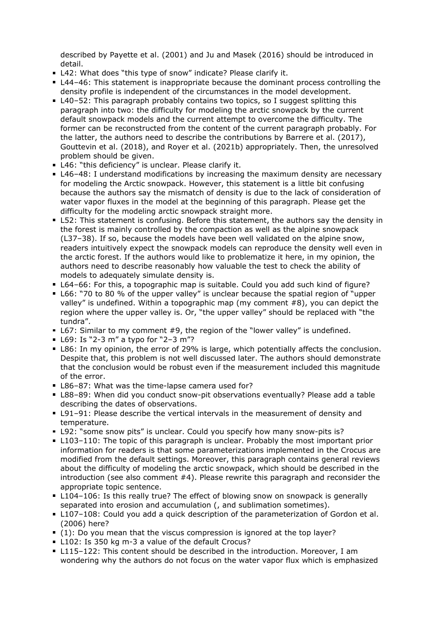described by Payette et al. (2001) and Ju and Masek (2016) should be introduced in detail.

- L42: What does "this type of snow" indicate? Please clarify it.
- L44-46: This statement is inappropriate because the dominant process controlling the density profile is independent of the circumstances in the model development.
- L40–52: This paragraph probably contains two topics, so I suggest splitting this paragraph into two: the difficulty for modeling the arctic snowpack by the current default snowpack models and the current attempt to overcome the difficulty. The former can be reconstructed from the content of the current paragraph probably. For the latter, the authors need to describe the contributions by Barrere et al. (2017), Gouttevin et al. (2018), and Royer et al. (2021b) appropriately. Then, the unresolved problem should be given.
- L46: "this deficiency" is unclear. Please clarify it.
- L46–48: I understand modifications by increasing the maximum density are necessary for modeling the Arctic snowpack. However, this statement is a little bit confusing because the authors say the mismatch of density is due to the lack of consideration of water vapor fluxes in the model at the beginning of this paragraph. Please get the difficulty for the modeling arctic snowpack straight more.
- L52: This statement is confusing. Before this statement, the authors say the density in the forest is mainly controlled by the compaction as well as the alpine snowpack (L37–38). If so, because the models have been well validated on the alpine snow, readers intuitively expect the snowpack models can reproduce the density well even in the arctic forest. If the authors would like to problematize it here, in my opinion, the authors need to describe reasonably how valuable the test to check the ability of models to adequately simulate density is.
- L64–66: For this, a topographic map is suitable. Could you add such kind of figure?
- L66: "70 to 80 % of the upper valley" is unclear because the spatial region of "upper valley" is undefined. Within a topographic map (my comment #8), you can depict the region where the upper valley is. Or, "the upper valley" should be replaced with "the tundra".
- L67: Similar to my comment #9, the region of the "lower valley" is undefined.
- L69: Is "2-3 m" a typo for "2-3 m"?
- L86: In my opinion, the error of 29% is large, which potentially affects the conclusion. Despite that, this problem is not well discussed later. The authors should demonstrate that the conclusion would be robust even if the measurement included this magnitude of the error.
- **L86-87: What was the time-lapse camera used for?**
- L88–89: When did you conduct snow-pit observations eventually? Please add a table describing the dates of observations.
- L91-91: Please describe the vertical intervals in the measurement of density and temperature.
- L92: "some snow pits" is unclear. Could you specify how many snow-pits is?
- L103–110: The topic of this paragraph is unclear. Probably the most important prior information for readers is that some parameterizations implemented in the Crocus are modified from the default settings. Moreover, this paragraph contains general reviews about the difficulty of modeling the arctic snowpack, which should be described in the introduction (see also comment #4). Please rewrite this paragraph and reconsider the appropriate topic sentence.
- L104–106: Is this really true? The effect of blowing snow on snowpack is generally separated into erosion and accumulation (, and sublimation sometimes).
- L107–108: Could you add a quick description of the parameterization of Gordon et al. (2006) here?
- (1): Do you mean that the viscus compression is ignored at the top layer?
- L102: Is 350 kg m-3 a value of the default Crocus?
- L115–122: This content should be described in the introduction. Moreover, I am wondering why the authors do not focus on the water vapor flux which is emphasized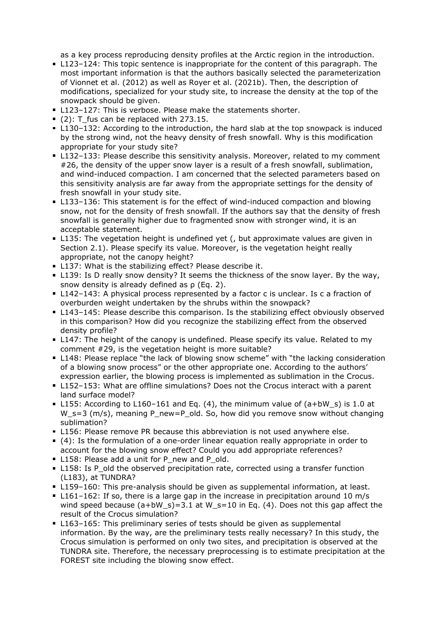as a key process reproducing density profiles at the Arctic region in the introduction.

- L123–124: This topic sentence is inappropriate for the content of this paragraph. The most important information is that the authors basically selected the parameterization of Vionnet et al. (2012) as well as Royer et al. (2021b). Then, the description of modifications, specialized for your study site, to increase the density at the top of the snowpack should be given.
- **L123–127: This is verbose. Please make the statements shorter.**
- (2): T\_fus can be replaced with 273.15.
- L130-132: According to the introduction, the hard slab at the top snowpack is induced by the strong wind, not the heavy density of fresh snowfall. Why is this modification appropriate for your study site?
- L132-133: Please describe this sensitivity analysis. Moreover, related to my comment #26, the density of the upper snow layer is a result of a fresh snowfall, sublimation, and wind-induced compaction. I am concerned that the selected parameters based on this sensitivity analysis are far away from the appropriate settings for the density of fresh snowfall in your study site.
- L133–136: This statement is for the effect of wind-induced compaction and blowing snow, not for the density of fresh snowfall. If the authors say that the density of fresh snowfall is generally higher due to fragmented snow with stronger wind, it is an acceptable statement.
- L135: The vegetation height is undefined yet (, but approximate values are given in Section 2.1). Please specify its value. Moreover, is the vegetation height really appropriate, not the canopy height?
- **L137: What is the stabilizing effect? Please describe it.**
- L139: Is D really snow density? It seems the thickness of the snow layer. By the way, snow density is already defined as ρ (Eq. 2).
- L142-143: A physical process represented by a factor c is unclear. Is c a fraction of overburden weight undertaken by the shrubs within the snowpack?
- L143-145: Please describe this comparison. Is the stabilizing effect obviously observed in this comparison? How did you recognize the stabilizing effect from the observed density profile?
- L147: The height of the canopy is undefined. Please specify its value. Related to my comment #29, is the vegetation height is more suitable?
- L148: Please replace "the lack of blowing snow scheme" with "the lacking consideration of a blowing snow process" or the other appropriate one. According to the authors' expression earlier, the blowing process is implemented as sublimation in the Crocus.
- L152–153: What are offline simulations? Does not the Crocus interact with a parent land surface model?
- L155: According to L160-161 and Eq. (4), the minimum value of  $(a+bW_s)$  is 1.0 at W\_s=3 (m/s), meaning P\_new=P\_old. So, how did you remove snow without changing sublimation?
- L156: Please remove PR because this abbreviation is not used anywhere else.
- (4): Is the formulation of a one-order linear equation really appropriate in order to account for the blowing snow effect? Could you add appropriate references?
- L158: Please add a unit for P\_new and P\_old.
- L158: Is P\_old the observed precipitation rate, corrected using a transfer function (L183), at TUNDRA?
- L159-160: This pre-analysis should be given as supplemental information, at least.
- $\blacksquare$  L161-162: If so, there is a large gap in the increase in precipitation around 10 m/s wind speed because  $(a+bW_s)=3.1$  at  $W_s=10$  in Eq. (4). Does not this gap affect the result of the Crocus simulation?
- L163–165: This preliminary series of tests should be given as supplemental information. By the way, are the preliminary tests really necessary? In this study, the Crocus simulation is performed on only two sites, and precipitation is observed at the TUNDRA site. Therefore, the necessary preprocessing is to estimate precipitation at the FOREST site including the blowing snow effect.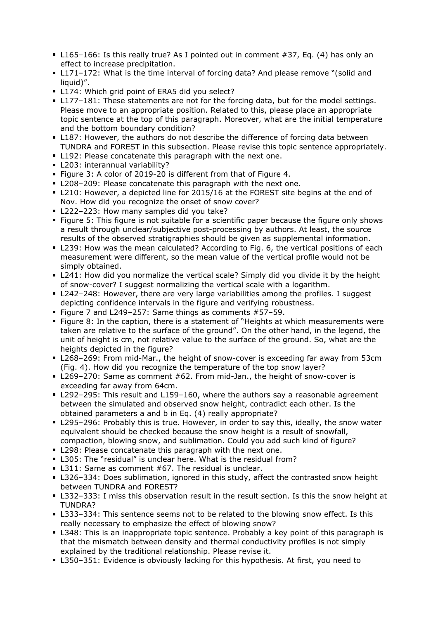- L165–166: Is this really true? As I pointed out in comment #37, Eq. (4) has only an effect to increase precipitation.
- L171-172: What is the time interval of forcing data? And please remove "(solid and liquid)".
- L174: Which grid point of ERA5 did you select?
- L177–181: These statements are not for the forcing data, but for the model settings. Please move to an appropriate position. Related to this, please place an appropriate topic sentence at the top of this paragraph. Moreover, what are the initial temperature and the bottom boundary condition?
- L187: However, the authors do not describe the difference of forcing data between TUNDRA and FOREST in this subsection. Please revise this topic sentence appropriately.
- **L192: Please concatenate this paragraph with the next one.**
- L203: interannual variability?
- Figure 3: A color of 2019-20 is different from that of Figure 4.
- L208–209: Please concatenate this paragraph with the next one.
- **L210: However, a depicted line for 2015/16 at the FOREST site begins at the end of** Nov. How did you recognize the onset of snow cover?
- L222-223: How many samples did you take?
- Figure 5: This figure is not suitable for a scientific paper because the figure only shows a result through unclear/subjective post-processing by authors. At least, the source results of the observed stratigraphies should be given as supplemental information.
- L239: How was the mean calculated? According to Fig. 6, the vertical positions of each measurement were different, so the mean value of the vertical profile would not be simply obtained.
- L241: How did you normalize the vertical scale? Simply did you divide it by the height of snow-cover? I suggest normalizing the vertical scale with a logarithm.
- L242–248: However, there are very large variabilities among the profiles. I suggest depicting confidence intervals in the figure and verifying robustness.
- Figure 7 and L249-257: Same things as comments #57-59.
- **Figure 8: In the caption, there is a statement of "Heights at which measurements were** taken are relative to the surface of the ground". On the other hand, in the legend, the unit of height is cm, not relative value to the surface of the ground. So, what are the heights depicted in the figure?
- L268–269: From mid-Mar., the height of snow-cover is exceeding far away from 53cm (Fig. 4). How did you recognize the temperature of the top snow layer?
- L269–270: Same as comment #62. From mid-Jan., the height of snow-cover is exceeding far away from 64cm.
- L292-295: This result and L159-160, where the authors say a reasonable agreement between the simulated and observed snow height, contradict each other. Is the obtained parameters a and b in Eq. (4) really appropriate?
- L295–296: Probably this is true. However, in order to say this, ideally, the snow water equivalent should be checked because the snow height is a result of snowfall, compaction, blowing snow, and sublimation. Could you add such kind of figure?
- L298: Please concatenate this paragraph with the next one.
- L305: The "residual" is unclear here. What is the residual from?
- **L311: Same as comment #67. The residual is unclear.**
- L326–334: Does sublimation, ignored in this study, affect the contrasted snow height between TUNDRA and FOREST?
- L332–333: I miss this observation result in the result section. Is this the snow height at TUNDRA?
- L333–334: This sentence seems not to be related to the blowing snow effect. Is this really necessary to emphasize the effect of blowing snow?
- L348: This is an inappropriate topic sentence. Probably a key point of this paragraph is that the mismatch between density and thermal conductivity profiles is not simply explained by the traditional relationship. Please revise it.
- L350–351: Evidence is obviously lacking for this hypothesis. At first, you need to